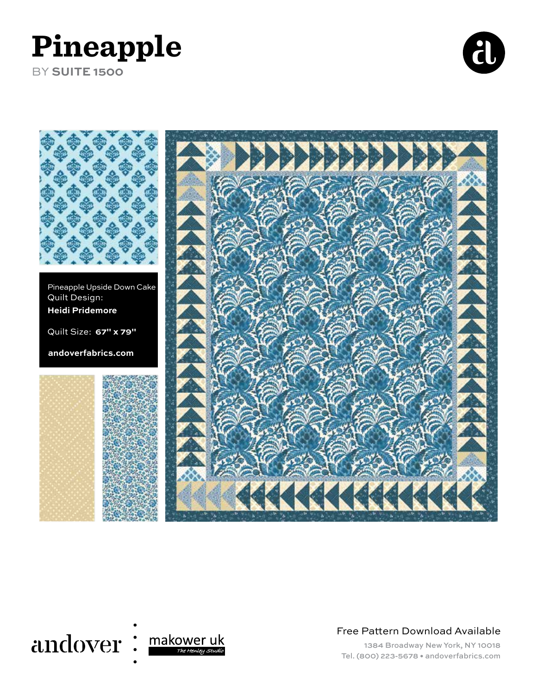# **Pineapple**

BY **SUITE 1500**







Free Pattern Download Available

1384 Broadway New York, NY 10018 Tel. (800) 223-5678 • andoverfabrics.com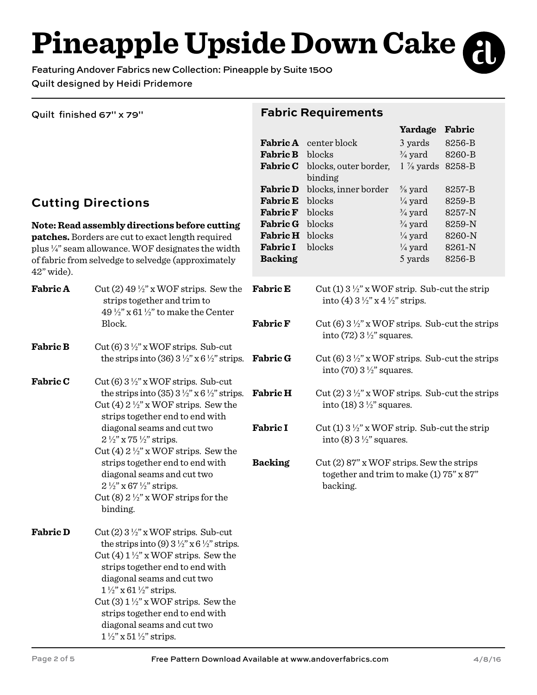**Pineapple Upside Down Cake**

Featuring Andover Fabrics new Collection: Pineapple by Suite 1500 Quilt designed by Heidi Pridemore

Quilt finished 67" x 79"

## **Cutting Directions**

**Note: Read assembly directions before cutting patches.** Borders are cut to exact length required plus ¼" seam allowance. WOF designates the width of fabric from selvedge to selvedge (approximately 42" wide).

| <b>Fabric A</b> | Cut (2) $49\frac{1}{2}$ " x WOF strips. Sew the<br>strips together and trim to<br>49 $\frac{1}{2}$ " x 61 $\frac{1}{2}$ " to make the Center                                                             | <b>Fabric E</b> | Cut (1) $3\frac{1}{2}$ " x WOF strip. Sub-cut the strip<br>into (4) $3\frac{1}{2}$ " x 4 $\frac{1}{2}$ " strips. |
|-----------------|----------------------------------------------------------------------------------------------------------------------------------------------------------------------------------------------------------|-----------------|------------------------------------------------------------------------------------------------------------------|
|                 | Block.                                                                                                                                                                                                   | <b>Fabric F</b> | Cut (6) $3\frac{1}{2}$ " x WOF strips. Sub-cut the strips<br>into $(72)$ 3 $\frac{1}{2}$ " squares.              |
| <b>Fabric B</b> | Cut (6) $3\frac{1}{2}$ " x WOF strips. Sub-cut<br>the strips into (36) $3\frac{1}{2}$ " x 6 $\frac{1}{2}$ " strips.                                                                                      | <b>Fabric G</b> | Cut (6) $3\frac{1}{2}$ " x WOF strips. Sub-cut the strips<br>into $(70)$ 3 $\frac{1}{2}$ " squares.              |
| <b>Fabric C</b> | Cut (6) $3\frac{1}{2}$ " x WOF strips. Sub-cut<br>the strips into (35) $3\frac{1}{2}$ " x 6 $\frac{1}{2}$ " strips.<br>Cut (4) $2\frac{1}{2}$ " x WOF strips. Sew the<br>strips together end to end with | <b>Fabric H</b> | Cut (2) $3\frac{1}{2}$ " x WOF strips. Sub-cut the strips<br>into $(18)$ 3 $\frac{1}{2}$ " squares.              |
|                 | diagonal seams and cut two<br>$2\frac{1}{2}$ " x 75 $\frac{1}{2}$ " strips.<br>Cut (4) $2\frac{1}{2}$ " x WOF strips. Sew the                                                                            | <b>Fabric I</b> | Cut (1) $3\frac{1}{2}$ " x WOF strip. Sub-cut the strip<br>into (8) $3\frac{1}{2}$ " squares.                    |
|                 | strips together end to end with<br>diagonal seams and cut two<br>$2\frac{1}{2}$ " x 67 $\frac{1}{2}$ " strips.                                                                                           | <b>Backing</b>  | $Cut(2) 87" x WOF strips. Sew the strips$<br>together and trim to make (1) $75" \times 87"$<br>backing.          |
|                 | Cut (8) $2\frac{1}{2}$ " x WOF strips for the<br>binding.                                                                                                                                                |                 |                                                                                                                  |
| <b>Fabric D</b> | Cut (2) $3\frac{1}{2}$ " x WOF strips. Sub-cut<br>the strips into (9) $3\frac{1}{2}$ " x 6 $\frac{1}{2}$ " strips.                                                                                       |                 |                                                                                                                  |
|                 | Cut (4) $1\frac{1}{2}$ " x WOF strips. Sew the<br>strips together end to end with<br>diagonal seams and cut two<br>$1\frac{1}{2}$ x 61 $\frac{1}{2}$ strips.                                             |                 |                                                                                                                  |
|                 | Cut (3) $1\frac{1}{2}$ " x WOF strips. Sew the<br>strips together end to end with<br>diagonal seams and cut two                                                                                          |                 |                                                                                                                  |
|                 | $1\frac{1}{2}$ " x 51 $\frac{1}{2}$ " strips.                                                                                                                                                            |                 |                                                                                                                  |

#### **Fabric Requirements**

**Fabric C** blocks, outer border,

**Fabric D** blocks, inner border

binding

**Fabric A**  center block **Fabric B**  blocks

**Fabric E**  blocks **Fabric F** blocks **Fabric G** blocks **Fabric H** blocks **Fabric I** blocks

**Backing**

**Yardage Fabric**

8256-B 8260-B

8257-B 8259-B 8257-N 8259-N 8260-N 8261-N 8256-B

1 ⅞ yards 8258-B

3 yards  $\frac{3}{4}$  yard

⅝ yard  $\frac{1}{4}$  yard  $\frac{3}{4}$  yard  $\frac{3}{4}$  yard  $\frac{1}{4}$  yard  $\frac{1}{4}$  yard 5 yards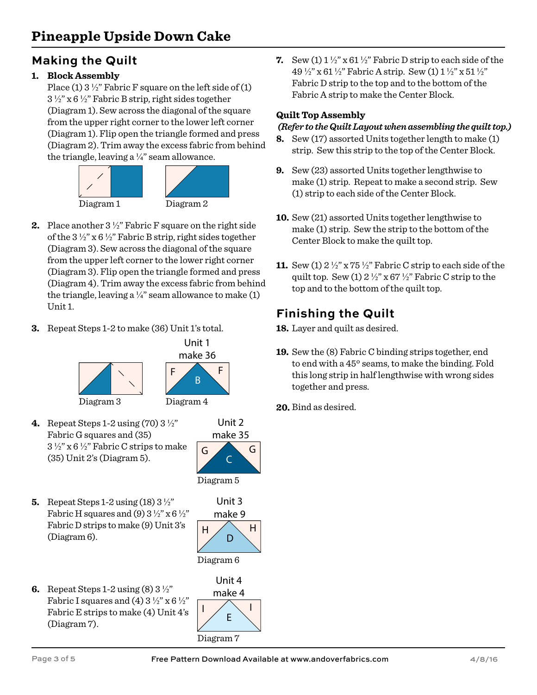## **Making the Quilt**

#### **1. Block Assembly**

Place (1)  $3\frac{1}{2}$ " Fabric F square on the left side of (1)  $3\frac{1}{2}$ " x 6 $\frac{1}{2}$ " Fabric B strip, right sides together (Diagram 1). Sew across the diagonal of the square from the upper right corner to the lower left corner (Diagram 1). Flip open the triangle formed and press (Diagram 2). Trim away the excess fabric from behind the triangle, leaving a  $\frac{1}{4}$ " seam allowance.





**3.** Repeat Steps 1-2 to make (36) Unit 1's total.



**4.** Repeat Steps 1-2 using (70) 3 ½" Fabric G squares and (35)  $3\frac{1}{2}$ " x 6  $\frac{1}{2}$ " Fabric C strips to make (35) Unit 2's (Diagram 5).



**5.** Repeat Steps 1-2 using (18) 3 ½" Fabric H squares and (9)  $3\frac{1}{2}$ " x 6 $\frac{1}{2}$ " Fabric D strips to make (9) Unit 3's (Diagram 6).



Unit 3

**6.** Repeat Steps 1-2 using (8) 3 ½" Fabric I squares and (4)  $3\frac{1}{2}$ " x 6 $\frac{1}{2}$ " Fabric E strips to make (4) Unit 4's (Diagram 7).



**7.** Sew (1)  $1\frac{1}{2}$  x 61  $\frac{1}{2}$  Fabric D strip to each side of the 49 ½" x 61 ½" Fabric A strip. Sew (1) 1 ½" x 51 ½" Fabric D strip to the top and to the bottom of the Fabric A strip to make the Center Block.

#### **Quilt Top Assembly**

#### *(Refer to the Quilt Layout when assembling the quilt top.)*

- **8.** Sew (17) assorted Units together length to make (1) strip. Sew this strip to the top of the Center Block.
- **9.** Sew (23) assorted Units together lengthwise to make (1) strip. Repeat to make a second strip. Sew (1) strip to each side of the Center Block.
- **10.** Sew (21) assorted Units together lengthwise to make (1) strip. Sew the strip to the bottom of the Center Block to make the quilt top.
- **11.** Sew (1) 2 ½" x 75 ½" Fabric C strip to each side of the quilt top. Sew (1)  $2\frac{1}{2}$ " x 67  $\frac{1}{2}$ " Fabric C strip to the top and to the bottom of the quilt top.

## **Finishing the Quilt**

**18.** Layer and quilt as desired.

- **19.** Sew the (8) Fabric C binding strips together, end to end with a 45º seams, to make the binding. Fold this long strip in half lengthwise with wrong sides together and press.
- **20.** Bind as desired.

Free Pattern Download Available at www.andoverfabrics.com 4/8/16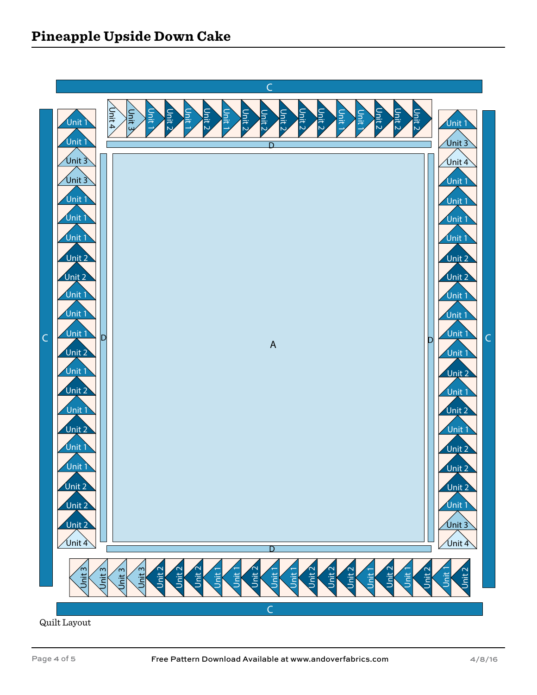

Quilt Layout